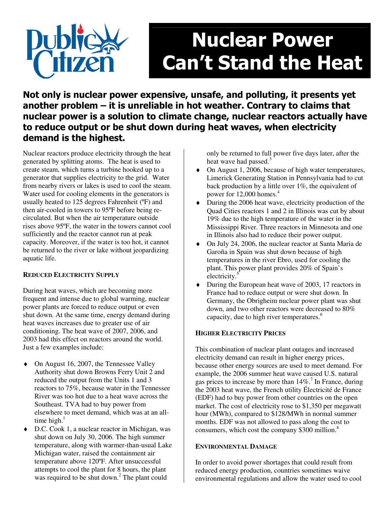# Nuclear Power Can't Stand the Heat

Not only is nuclear power expensive, unsafe, and polluting, it presents yet another problem – it is unreliable in hot weather. Contrary to claims that nuclear power is a solution to climate change, nuclear reactors actually have to reduce output or be shut down during heat waves, when electricity demand is the highest.

Nuclear reactors produce electricity through the heat generated by splitting atoms. The heat is used to create steam, which turns a turbine hooked up to a generator that supplies electricity to the grid. Water from nearby rivers or lakes is used to cool the steam. Water used for cooling elements in the generators is usually heated to 125 degrees Fahrenheit (ºF) and then air-cooled in towers to 95ºF before being recirculated. But when the air temperature outside rises above 95ºF, the water in the towers cannot cool sufficiently and the reactor cannot run at peak capacity. Moreover, if the water is too hot, it cannot be returned to the river or lake without jeopardizing aquatic life.

## **REDUCED ELECTRICITY SUPPLY**

During heat waves, which are becoming more frequent and intense due to global warming, nuclear power plants are forced to reduce output or even shut down. At the same time, energy demand during heat waves increases due to greater use of air conditioning. The heat wave of 2007, 2006, and 2003 had this effect on reactors around the world. Just a few examples include:

- ◆ On August 16, 2007, the Tennessee Valley Authority shut down Browns Ferry Unit 2 and reduced the output from the Units 1 and 3 reactors to 75%, because water in the Tennessee River was too hot due to a heat wave across the Southeast. TVA had to buy power from elsewhere to meet demand, which was at an alltime high. $<sup>1</sup>$ </sup>
- D.C. Cook 1, a nuclear reactor in Michigan, was shut down on July 30, 2006. The high summer temperature, along with warmer-than-usual Lake Michigan water, raised the containment air temperature above 120ºF. After unsuccessful attempts to cool the plant for 8 hours, the plant was required to be shut down.<sup>2</sup> The plant could

only be returned to full power five days later, after the heat wave had passed.<sup>3</sup>

- ♦ On August 1, 2006, because of high water temperatures, Limerick Generating Station in Pennsylvania had to cut back production by a little over 1%, the equivalent of power for 12,000 homes.<sup>4</sup>
- During the 2006 heat wave, electricity production of the Quad Cities reactors 1 and 2 in Illinois was cut by about 19% due to the high temperature of the water in the Mississippi River. Three reactors in Minnesota and one in Illinois also had to reduce their power output.
- ♦ On July 24, 2006, the nuclear reactor at Santa Maria de Garoña in Spain was shut down because of high temperatures in the river Ebro, used for cooling the plant. This power plant provides 20% of Spain's electricity.<sup>5</sup>
- ♦ During the European heat wave of 2003, 17 reactors in France had to reduce output or were shut down. In Germany, the Obrigheim nuclear power plant was shut down, and two other reactors were decreased to 80% capacity, due to high river temperatures.<sup>6</sup>

# **HIGHER ELECTRICITY PRICES**

This combination of nuclear plant outages and increased electricity demand can result in higher energy prices, because other energy sources are used to meet demand. For example, the 2006 summer heat wave caused U.S. natural gas prices to increase by more than  $14\%$ .<sup>7</sup> In France, during the 2003 heat wave, the French utility Électricité de France (EDF) had to buy power from other countries on the open market. The cost of electricity rose to \$1,350 per megawatt hour (MWh), compared to \$128/MWh in normal summer months. EDF was not allowed to pass along the cost to consumers, which cost the company \$300 million.<sup>8</sup>

## **ENVIRONMENTAL DAMAGE**

In order to avoid power shortages that could result from reduced energy production, countries sometimes waive environmental regulations and allow the water used to cool